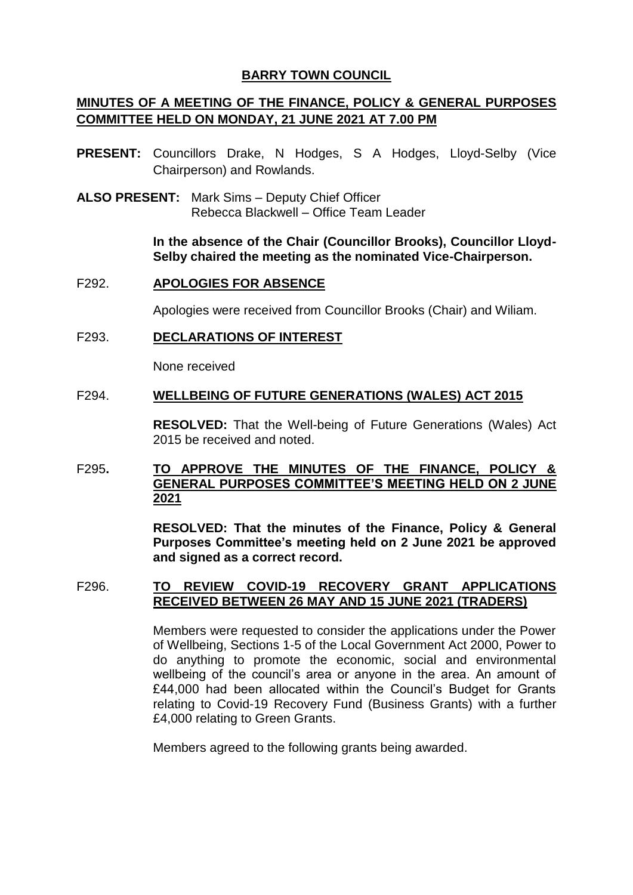# **BARRY TOWN COUNCIL**

# **MINUTES OF A MEETING OF THE FINANCE, POLICY & GENERAL PURPOSES COMMITTEE HELD ON MONDAY, 21 JUNE 2021 AT 7.00 PM**

- **PRESENT:** Councillors Drake, N Hodges, S A Hodges, Lloyd-Selby (Vice Chairperson) and Rowlands.
- **ALSO PRESENT:** Mark Sims Deputy Chief Officer Rebecca Blackwell – Office Team Leader

**In the absence of the Chair (Councillor Brooks), Councillor Lloyd-Selby chaired the meeting as the nominated Vice-Chairperson.**

#### F292. **APOLOGIES FOR ABSENCE**

Apologies were received from Councillor Brooks (Chair) and Wiliam.

#### F293. **DECLARATIONS OF INTEREST**

None received

#### F294. **WELLBEING OF FUTURE GENERATIONS (WALES) ACT 2015**

**RESOLVED:** That the Well-being of Future Generations (Wales) Act 2015 be received and noted.

# F295**. TO APPROVE THE MINUTES OF THE FINANCE, POLICY & GENERAL PURPOSES COMMITTEE'S MEETING HELD ON 2 JUNE 2021**

**RESOLVED: That the minutes of the Finance, Policy & General Purposes Committee's meeting held on 2 June 2021 be approved and signed as a correct record.**

### F296. **TO REVIEW COVID-19 RECOVERY GRANT APPLICATIONS RECEIVED BETWEEN 26 MAY AND 15 JUNE 2021 (TRADERS)**

Members were requested to consider the applications under the Power of Wellbeing, Sections 1-5 of the Local Government Act 2000, Power to do anything to promote the economic, social and environmental wellbeing of the council's area or anyone in the area. An amount of £44,000 had been allocated within the Council's Budget for Grants relating to Covid-19 Recovery Fund (Business Grants) with a further £4,000 relating to Green Grants.

Members agreed to the following grants being awarded.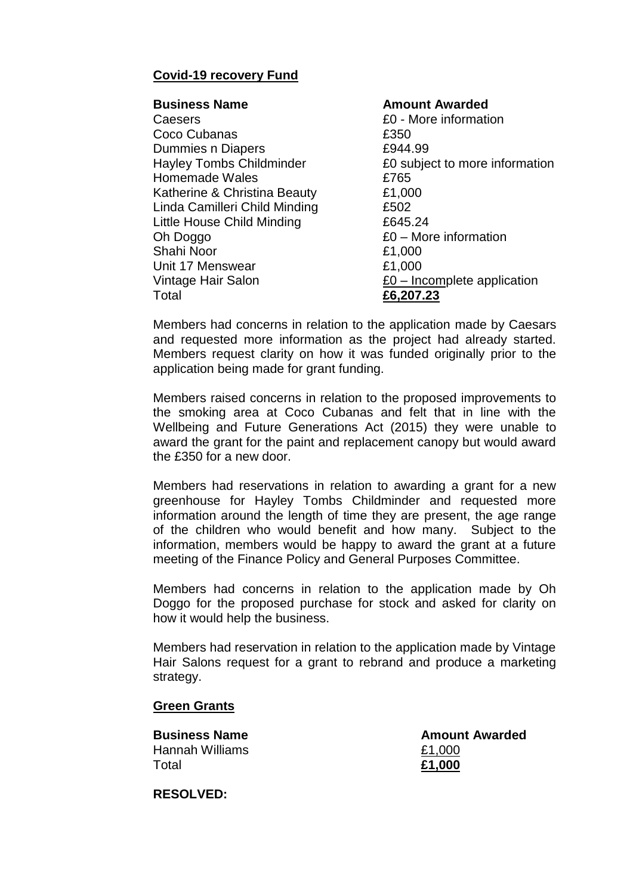# **Covid-19 recovery Fund**

## **Business Name Amount Awarded** Caesers £0 - More information Coco Cubanas **2350** Dummies n Diapers **2944.99** Hayley Tombs Childminder **E0** subject to more information Homemade Wales **E765** Katherine & Christina Beauty **E1,000** Linda Camilleri Child Minding £502 Little House Child Minding **E645.24** Oh Doggo £0 – More information Shahi Noor **£1,000** Unit 17 Menswear **E1,000** Vintage Hair Salon **E0** – Incomplete application Total **£6,207.23**

Members had concerns in relation to the application made by Caesars and requested more information as the project had already started. Members request clarity on how it was funded originally prior to the application being made for grant funding.

Members raised concerns in relation to the proposed improvements to the smoking area at Coco Cubanas and felt that in line with the Wellbeing and Future Generations Act (2015) they were unable to award the grant for the paint and replacement canopy but would award the £350 for a new door.

Members had reservations in relation to awarding a grant for a new greenhouse for Hayley Tombs Childminder and requested more information around the length of time they are present, the age range of the children who would benefit and how many. Subject to the information, members would be happy to award the grant at a future meeting of the Finance Policy and General Purposes Committee.

Members had concerns in relation to the application made by Oh Doggo for the proposed purchase for stock and asked for clarity on how it would help the business.

Members had reservation in relation to the application made by Vintage Hair Salons request for a grant to rebrand and produce a marketing strategy.

# **Green Grants**

Hannah Williams £1,000 Total **£1,000**

**Business Name Amount Awarded** 

**RESOLVED:**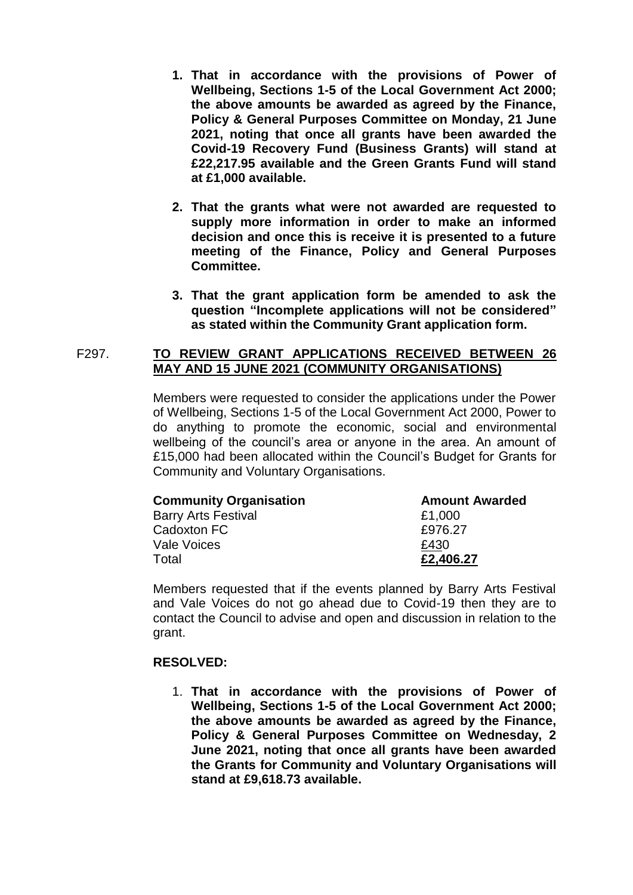- **1. That in accordance with the provisions of Power of Wellbeing, Sections 1-5 of the Local Government Act 2000; the above amounts be awarded as agreed by the Finance, Policy & General Purposes Committee on Monday, 21 June 2021, noting that once all grants have been awarded the Covid-19 Recovery Fund (Business Grants) will stand at £22,217.95 available and the Green Grants Fund will stand at £1,000 available.**
- **2. That the grants what were not awarded are requested to supply more information in order to make an informed decision and once this is receive it is presented to a future meeting of the Finance, Policy and General Purposes Committee.**
- **3. That the grant application form be amended to ask the question "Incomplete applications will not be considered" as stated within the Community Grant application form.**

## F297. **TO REVIEW GRANT APPLICATIONS RECEIVED BETWEEN 26 MAY AND 15 JUNE 2021 (COMMUNITY ORGANISATIONS)**

Members were requested to consider the applications under the Power of Wellbeing, Sections 1-5 of the Local Government Act 2000, Power to do anything to promote the economic, social and environmental wellbeing of the council's area or anyone in the area. An amount of £15,000 had been allocated within the Council's Budget for Grants for Community and Voluntary Organisations.

| <b>Community Organisation</b> | <b>Amount Awarded</b> |
|-------------------------------|-----------------------|
| <b>Barry Arts Festival</b>    | £1,000                |
| Cadoxton FC                   | £976.27               |
| Vale Voices                   | £430                  |
| Total                         | £2,406,27             |

Members requested that if the events planned by Barry Arts Festival and Vale Voices do not go ahead due to Covid-19 then they are to contact the Council to advise and open and discussion in relation to the grant.

# **RESOLVED:**

1. **That in accordance with the provisions of Power of Wellbeing, Sections 1-5 of the Local Government Act 2000; the above amounts be awarded as agreed by the Finance, Policy & General Purposes Committee on Wednesday, 2 June 2021, noting that once all grants have been awarded the Grants for Community and Voluntary Organisations will stand at £9,618.73 available.**